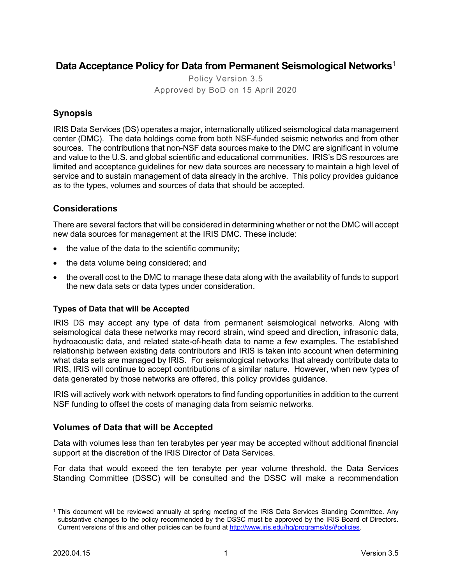# **Data Acceptance Policy for Data from Permanent Seismological Networks**<sup>1</sup>

Policy Version 3.5 Approved by BoD on 15 April 2020

## **Synopsis**

IRIS Data Services (DS) operates a major, internationally utilized seismological data management center (DMC). The data holdings come from both NSF-funded seismic networks and from other sources. The contributions that non-NSF data sources make to the DMC are significant in volume and value to the U.S. and global scientific and educational communities. IRIS's DS resources are limited and acceptance guidelines for new data sources are necessary to maintain a high level of service and to sustain management of data already in the archive. This policy provides guidance as to the types, volumes and sources of data that should be accepted.

## **Considerations**

There are several factors that will be considered in determining whether or not the DMC will accept new data sources for management at the IRIS DMC. These include:

- the value of the data to the scientific community;
- the data volume being considered; and
- the overall cost to the DMC to manage these data along with the availability of funds to support the new data sets or data types under consideration.

#### **Types of Data that will be Accepted**

IRIS DS may accept any type of data from permanent seismological networks. Along with seismological data these networks may record strain, wind speed and direction, infrasonic data, hydroacoustic data, and related state-of-heath data to name a few examples. The established relationship between existing data contributors and IRIS is taken into account when determining what data sets are managed by IRIS. For seismological networks that already contribute data to IRIS, IRIS will continue to accept contributions of a similar nature. However, when new types of data generated by those networks are offered, this policy provides guidance.

IRIS will actively work with network operators to find funding opportunities in addition to the current NSF funding to offset the costs of managing data from seismic networks.

#### **Volumes of Data that will be Accepted**

Data with volumes less than ten terabytes per year may be accepted without additional financial support at the discretion of the IRIS Director of Data Services.

For data that would exceed the ten terabyte per year volume threshold, the Data Services Standing Committee (DSSC) will be consulted and the DSSC will make a recommendation

<sup>1</sup> This document will be reviewed annually at spring meeting of the IRIS Data Services Standing Committee. Any substantive changes to the policy recommended by the DSSC must be approved by the IRIS Board of Directors. Current versions of this and other policies can be found at http://www.iris.edu/hq/programs/ds/#policies.